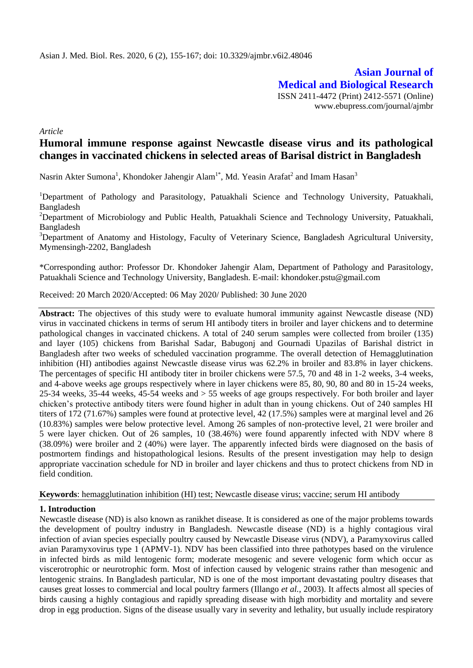**Asian Journal of Medical and Biological Research** ISSN 2411-4472 (Print) 2412-5571 (Online) www.ebupress.com/journal/ajmbr

*Article*

# **Humoral immune response against Newcastle disease virus and its pathological changes in vaccinated chickens in selected areas of Barisal district in Bangladesh**

Nasrin Akter Sumona<sup>1</sup>, Khondoker Jahengir Alam<sup>1\*</sup>, Md. Yeasin Arafat<sup>2</sup> and Imam Hasan<sup>3</sup>

<sup>1</sup>Department of Pathology and Parasitology, Patuakhali Science and Technology University, Patuakhali, Bangladesh

<sup>2</sup>Department of Microbiology and Public Health, Patuakhali Science and Technology University, Patuakhali, Bangladesh

<sup>3</sup>Department of Anatomy and Histology, Faculty of Veterinary Science, Bangladesh Agricultural University, Mymensingh-2202, Bangladesh

\*Corresponding author: Professor Dr. Khondoker Jahengir Alam, Department of Pathology and Parasitology, Patuakhali Science and Technology University, Bangladesh. E-mail: khondoker.pstu@gmail.com

Received: 20 March 2020/Accepted: 06 May 2020/ Published: 30 June 2020

**Abstract:** The objectives of this study were to evaluate humoral immunity against Newcastle disease (ND) virus in vaccinated chickens in terms of serum HI antibody titers in broiler and layer chickens and to determine pathological changes in vaccinated chickens. A total of 240 serum samples were collected from broiler (135) and layer (105) chickens from Barishal Sadar, Babugonj and Gournadi Upazilas of Barishal district in Bangladesh after two weeks of scheduled vaccination programme. The overall detection of Hemagglutination inhibition (HI) antibodies against Newcastle disease virus was 62.2% in broiler and 83.8% in layer chickens. The percentages of specific HI antibody titer in broiler chickens were 57.5, 70 and 48 in 1-2 weeks, 3-4 weeks, and 4-above weeks age groups respectively where in layer chickens were 85, 80, 90, 80 and 80 in 15-24 weeks, 25-34 weeks, 35-44 weeks, 45-54 weeks and > 55 weeks of age groups respectively. For both broiler and layer chicken's protective antibody titers were found higher in adult than in young chickens. Out of 240 samples HI titers of 172 (71.67%) samples were found at protective level, 42 (17.5%) samples were at marginal level and 26 (10.83%) samples were below protective level. Among 26 samples of non-protective level, 21 were broiler and 5 were layer chicken. Out of 26 samples, 10 (38.46%) were found apparently infected with NDV where 8 (38.09%) were broiler and 2 (40%) were layer. The apparently infected birds were diagnosed on the basis of postmortem findings and histopathological lesions. Results of the present investigation may help to design appropriate vaccination schedule for ND in broiler and layer chickens and thus to protect chickens from ND in field condition.

**Keywords**: hemagglutination inhibition (HI) test; Newcastle disease virus; vaccine; serum HI antibody

## **1. Introduction**

Newcastle disease (ND) is also known as ranikhet disease. It is considered as one of the major problems towards the development of poultry industry in Bangladesh. Newcastle disease (ND) is a highly contagious viral infection of avian species especially poultry caused by Newcastle Disease virus (NDV), a Paramyxovirus called avian Paramyxovirus type 1 (APMV-1). NDV has been classified into three pathotypes based on the virulence in infected birds as mild lentogenic form; moderate mesogenic and severe velogenic form which occur as viscerotrophic or neurotrophic form. Most of infection caused by velogenic strains rather than mesogenic and lentogenic strains. In Bangladesh particular, ND is one of the most important devastating poultry diseases that causes great losses to commercial and local poultry farmers (Illango *et al.*, 2003). It affects almost all species of birds causing a highly contagious and rapidly spreading disease with high morbidity and mortality and severe drop in egg production. Signs of the disease usually vary in severity and lethality, but usually include respiratory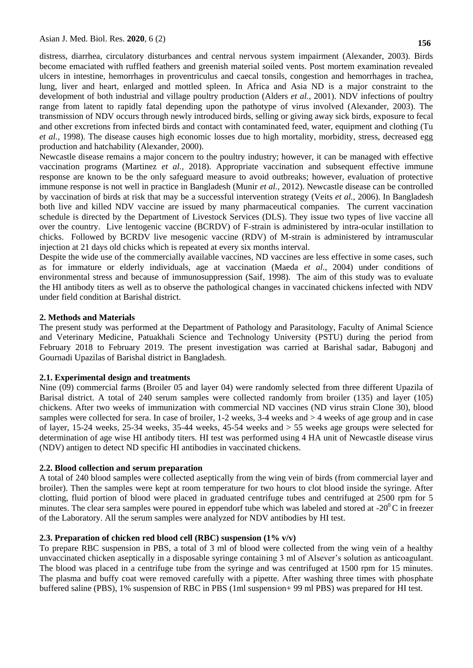distress, diarrhea, circulatory disturbances and central nervous system impairment (Alexander, 2003). Birds become emaciated with ruffled feathers and greenish material soiled vents. Post mortem examination revealed ulcers in intestine, hemorrhages in proventriculus and caecal tonsils, congestion and hemorrhages in trachea, lung, liver and heart, enlarged and mottled spleen. In Africa and Asia ND is a major constraint to the development of both industrial and village poultry production (Alders *et al.*, 2001). NDV infections of poultry range from latent to rapidly fatal depending upon the pathotype of virus involved (Alexander, 2003). The transmission of NDV occurs through newly introduced birds, selling or giving away sick birds, exposure to fecal and other excretions from infected birds and contact with contaminated feed, water, equipment and clothing (Tu *et al.,* 1998). The disease causes high economic losses due to high mortality, morbidity, stress, decreased egg production and hatchability (Alexander, 2000).

Newcastle disease remains a major concern to the poultry industry; however, it can be managed with effective vaccination programs (Martinez *et al.,* 2018). Appropriate vaccination and subsequent effective immune response are known to be the only safeguard measure to avoid outbreaks; however, evaluation of protective immune response is not well in practice in Bangladesh (Munir *et al.,* 2012). Newcastle disease can be controlled by vaccination of birds at risk that may be a successful intervention strategy (Veits *et al.,* 2006). In Bangladesh both live and killed NDV vaccine are issued by many pharmaceutical companies. The current vaccination schedule is directed by the Department of Livestock Services (DLS). They issue two types of live vaccine all over the country. Live lentogenic vaccine (BCRDV) of F-strain is administered by intra-ocular instillation to chicks. Followed by BCRDV live mesogenic vaccine (RDV) of M-strain is administered by intramuscular injection at 21 days old chicks which is repeated at every six months interval.

Despite the wide use of the commercially available vaccines, ND vaccines are less effective in some cases, such as for immature or elderly individuals, age at vaccination (Maeda *et al*., 2004) under conditions of environmental stress and because of immunosuppression (Saif, 1998). The aim of this study was to evaluate the HI antibody titers as well as to observe the pathological changes in vaccinated chickens infected with NDV under field condition at Barishal district.

# **2. Methods and Materials**

The present study was performed at the Department of Pathology and Parasitology, Faculty of Animal Science and Veterinary Medicine, Patuakhali Science and Technology University (PSTU) during the period from February 2018 to February 2019. The present investigation was carried at Barishal sadar, Babugonj and Gournadi Upazilas of Barishal district in Bangladesh.

## **2.1. Experimental design and treatments**

Nine (09) commercial farms (Broiler 05 and layer 04) were randomly selected from three different Upazila of Barisal district. A total of 240 serum samples were collected randomly from broiler (135) and layer (105) chickens. After two weeks of immunization with commercial ND vaccines (ND virus strain Clone 30), blood samples were collected for sera. In case of broiler, 1-2 weeks, 3-4 weeks and > 4 weeks of age group and in case of layer, 15-24 weeks, 25-34 weeks, 35-44 weeks, 45-54 weeks and > 55 weeks age groups were selected for determination of age wise HI antibody titers. HI test was performed using 4 HA unit of Newcastle disease virus (NDV) antigen to detect ND specific HI antibodies in vaccinated chickens.

# **2.2. Blood collection and serum preparation**

A total of 240 blood samples were collected aseptically from the wing vein of birds (from commercial layer and broiler). Then the samples were kept at room temperature for two hours to clot blood inside the syringe. After clotting, fluid portion of blood were placed in graduated centrifuge tubes and centrifuged at 2500 rpm for 5 minutes. The clear sera samples were poured in eppendorf tube which was labeled and stored at  $-20^{\circ}$ C in freezer of the Laboratory. All the serum samples were analyzed for NDV antibodies by HI test.

## **2.3. Preparation of chicken red blood cell (RBC) suspension (1% v/v)**

To prepare RBC suspension in PBS, a total of 3 ml of blood were collected from the wing vein of a healthy unvaccinated chicken aseptically in a disposable syringe containing 3 ml of Alsever's solution as anticoagulant. The blood was placed in a centrifuge tube from the syringe and was centrifuged at 1500 rpm for 15 minutes. The plasma and buffy coat were removed carefully with a pipette. After washing three times with phosphate buffered saline (PBS), 1% suspension of RBC in PBS (1ml suspension+ 99 ml PBS) was prepared for HI test.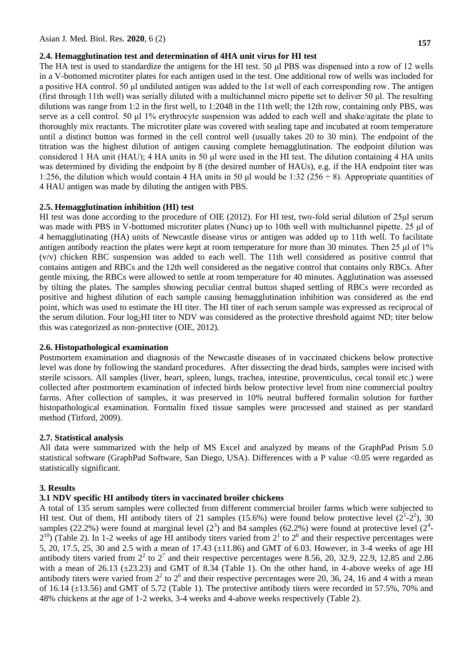#### **2.4. Hemagglutination test and determination of 4HA unit virus for HI test**

The HA test is used to standardize the antigens for the HI test. 50 µ PBS was dispensed into a row of 12 wells in a V-bottomed microtiter plates for each antigen used in the test. One additional row of wells was included for a positive HA control. 50 μl undiluted antigen was added to the 1st well of each corresponding row. The antigen (first through 11th well) was serially diluted with a multichannel micro pipette set to deliver 50 μl. The resulting dilutions was range from 1:2 in the first well, to 1:2048 in the 11th well; the 12th row, containing only PBS, was serve as a cell control. 50 μl 1% erythrocyte suspension was added to each well and shake/agitate the plate to thoroughly mix reactants. The microtiter plate was covered with sealing tape and incubated at room temperature until a distinct button was formed in the cell control well (usually takes 20 to 30 min). The endpoint of the titration was the highest dilution of antigen causing complete hemagglutination. The endpoint dilution was considered 1 HA unit (HAU); 4 HA units in 50 μl were used in the HI test. The dilution containing 4 HA units was determined by dividing the endpoint by 8 (the desired number of HAUs), e.g. if the HA endpoint titer was 1:256, the dilution which would contain 4 HA units in 50  $\mu$ l would be 1:32 (256 ÷ 8). Appropriate quantities of 4 HAU antigen was made by diluting the antigen with PBS.

## **2.5. Hemagglutination inhibition (HI) test**

HI test was done according to the procedure of OIE (2012). For HI test, two-fold serial dilution of 25μl serum was made with PBS in V-bottomed microtiter plates (Nunc) up to 10th well with multichannel pipette. 25 μl of 4 hemagglutinating (HA) units of Newcastle disease virus or antigen was added up to 11th well. To facilitate antigen antibody reaction the plates were kept at room temperature for more than 30 minutes. Then 25 μl of 1% (v/v) chicken RBC suspension was added to each well. The 11th well considered as positive control that contains antigen and RBCs and the 12th well considered as the negative control that contains only RBCs. After gentle mixing, the RBCs were allowed to settle at room temperature for 40 minutes. Agglutination was assessed by tilting the plates. The samples showing peculiar central button shaped settling of RBCs were recorded as positive and highest dilution of each sample causing hemagglutination inhibition was considered as the end point, which was used to estimate the HI titer. The HI titer of each serum sample was expressed as reciprocal of the serum dilution. Four log2HI titer to NDV was considered as the protective threshold against ND; titer below this was categorized as non-protective (OIE, 2012).

## **2.6. Histopathological examination**

Postmortem examination and diagnosis of the Newcastle diseases of in vaccinated chickens below protective level was done by following the standard procedures. After dissecting the dead birds, samples were incised with sterile scissors. All samples (liver, heart, spleen, lungs, trachea, intestine, proventiculus, cecal tonsil etc.) were collected after postmortem examination of infected birds below protective level from nine commercial poultry farms. After collection of samples, it was preserved in 10% neutral buffered formalin solution for further histopathological examination. Formalin fixed tissue samples were processed and stained as per standard method (Titford, 2009).

#### **2.7. Statistical analysis**

All data were summarized with the help of MS Excel and analyzed by means of the GraphPad Prism 5.0 statistical software (GraphPad Software, San Diego, USA). Differences with a P value <0.05 were regarded as statistically significant.

## **3. Results**

## **3.1 NDV specific HI antibody titers in vaccinated broiler chickens**

A total of 135 serum samples were collected from different commercial broiler farms which were subjected to HI test. Out of them, HI antibody titers of 21 samples (15.6%) were found below protective level  $(2^1-2^2)$ , 30 samples (22.2%) were found at marginal level ( $2<sup>3</sup>$ ) and 84 samples (62.2%) were found at protective level ( $2<sup>4</sup>$ - $2^{10}$ ) (Table 2). In 1-2 weeks of age HI antibody titers varied from  $2^1$  to  $2^6$  and their respective percentages were 5, 20, 17.5, 25, 30 and 2.5 with a mean of 17.43 (±11.86) and GMT of 6.03. However, in 3-4 weeks of age HI antibody titers varied from  $2^2$  to  $2^7$  and their respective percentages were 8.56, 20, 32.9, 22.9, 12.85 and 2.86 with a mean of 26.13 ( $\pm$ 23.23) and GMT of 8.34 (Table 1). On the other hand, in 4-above weeks of age HI antibody titers were varied from  $2<sup>2</sup>$  to  $2<sup>6</sup>$  and their respective percentages were 20, 36, 24, 16 and 4 with a mean of 16.14  $(\pm 13.56)$  and GMT of 5.72 (Table 1). The protective antibody titers were recorded in 57.5%, 70% and 48% chickens at the age of 1-2 weeks, 3-4 weeks and 4-above weeks respectively (Table 2).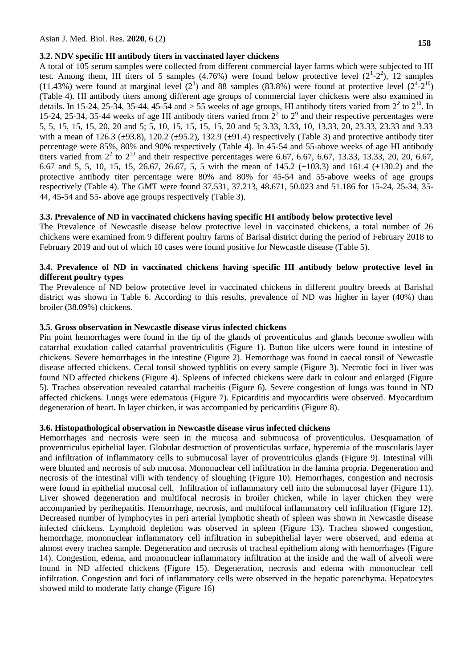## **3.2. NDV specific HI antibody titers in vaccinated layer chickens**

A total of 105 serum samples were collected from different commercial layer farms which were subjected to HI test. Among them, HI titers of 5 samples (4.76%) were found below protective level  $(2^1-2^2)$ , 12 samples (11.43%) were found at marginal level  $(2^3)$  and 88 samples (83.8%) were found at protective level  $(2^4$ - $2^{10})$ (Table 4). HI antibody titers among different age groups of commercial layer chickens were also examined in details. In 15-24, 25-34, 35-44, 45-54 and  $> 55$  weeks of age groups, HI antibody titers varied from  $2<sup>2</sup>$  to  $2<sup>10</sup>$ . In 15-24, 25-34, 35-44 weeks of age HI antibody titers varied from  $2<sup>2</sup>$  to  $2<sup>9</sup>$  and their respective percentages were 5, 5, 15, 15, 15, 20, 20 and 5; 5, 10, 15, 15, 15, 15, 20 and 5; 3.33, 3.33, 10, 13.33, 20, 23.33, 23.33 and 3.33 with a mean of 126.3 ( $\pm$ 93.8), 120.2 ( $\pm$ 95.2), 132.9 ( $\pm$ 91.4) respectively (Table 3) and protective antibody titer percentage were 85%, 80% and 90% respectively (Table 4). In 45-54 and 55-above weeks of age HI antibody titers varied from  $2^2$  to  $2^{10}$  and their respective percentages were 6.67, 6.67, 6.67, 13.33, 13.33, 20, 20, 6.67, 6.67 and 5, 5, 10, 15, 15, 26.67, 26.67, 5, 5 with the mean of 145.2 ( $\pm$ 103.3) and 161.4 ( $\pm$ 130.2) and the protective antibody titer percentage were 80% and 80% for 45-54 and 55-above weeks of age groups respectively (Table 4). The GMT were found 37.531, 37.213, 48.671, 50.023 and 51.186 for 15-24, 25-34, 35- 44, 45-54 and 55- above age groups respectively (Table 3).

#### **3.3. Prevalence of ND in vaccinated chickens having specific HI antibody below protective level**

The Prevalence of Newcastle disease below protective level in vaccinated chickens, a total number of 26 chickens were examined from 9 different poultry farms of Barisal district during the period of February 2018 to February 2019 and out of which 10 cases were found positive for Newcastle disease (Table 5).

## **3.4. Prevalence of ND in vaccinated chickens having specific HI antibody below protective level in different poultry types**

The Prevalence of ND below protective level in vaccinated chickens in different poultry breeds at Barishal district was shown in Table 6. According to this results, prevalence of ND was higher in layer (40%) than broiler (38.09%) chickens.

#### **3.5. Gross observation in Newcastle disease virus infected chickens**

Pin point hemorrhages were found in the tip of the glands of proventiculus and glands become swollen with catarrhal exudation called catarrhal proventriculitis (Figure 1). Button like ulcers were found in intestine of chickens. Severe hemorrhages in the intestine (Figure 2). Hemorrhage was found in caecal tonsil of Newcastle disease affected chickens. Cecal tonsil showed typhlitis on every sample (Figure 3). Necrotic foci in liver was found ND affected chickens (Figure 4). Spleens of infected chickens were dark in colour and enlarged (Figure 5). Trachea observation revealed catarrhal tracheitis (Figure 6). Severe congestion of lungs was found in ND affected chickens. Lungs were edematous (Figure 7). Epicarditis and myocarditis were observed. Myocardium degeneration of heart. In layer chicken, it was accompanied by pericarditis (Figure 8).

#### **3.6. Histopathological observation in Newcastle disease virus infected chickens**

Hemorrhages and necrosis were seen in the mucosa and submucosa of proventiculus. Desquamation of proventriculus epithelial layer. Globular destruction of proventiculas surface, hyperemia of the muscularis layer and infiltration of inflammatory cells to submucosal layer of proventriculus glands (Figure 9). Intestinal villi were blunted and necrosis of sub mucosa. Mononuclear cell infiltration in the lamina propria. Degeneration and necrosis of the intestinal villi with tendency of sloughing (Figure 10). Hemorrhages, congestion and necrosis were found in epithelial mucosal cell. Infiltration of inflammatory cell into the submucosal layer (Figure 11). Liver showed degeneration and multifocal necrosis in broiler chicken, while in layer chicken they were accompanied by perihepatitis. Hemorrhage, necrosis, and multifocal inflammatory cell infiltration (Figure 12). Decreased number of lymphocytes in peri arterial lymphotic sheath of spleen was shown in Newcastle disease infected chickens. Lymphoid depletion was observed in spleen (Figure 13). Trachea showed congestion, hemorrhage, mononuclear inflammatory cell infiltration in subepithelial layer were observed, and edema at almost every trachea sample. Degeneration and necrosis of tracheal epithelium along with hemorrhages (Figure 14). Congestion, edema, and mononuclear inflammatory infiltration at the inside and the wall of alveoli were found in ND affected chickens (Figure 15). Degeneration, necrosis and edema with mononuclear cell infiltration. Congestion and foci of inflammatory cells were observed in the hepatic parenchyma. Hepatocytes showed mild to moderate fatty change (Figure 16)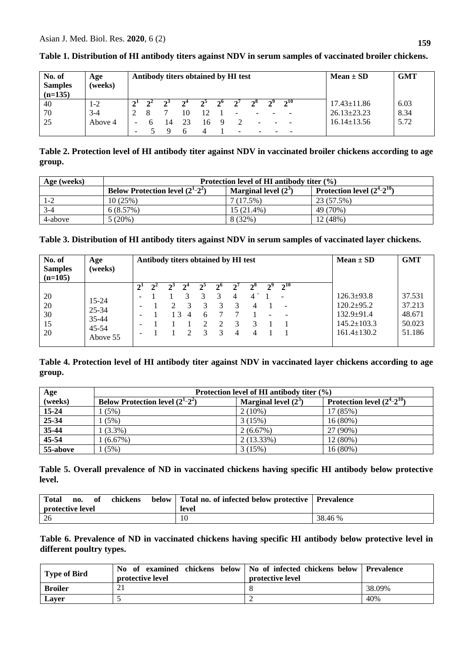| No. of<br><b>Samples</b><br>$(n=135)$ | Age<br>(weeks) | Antibody titers obtained by HI test |    |    |    |             |                          |                          | <b>GMT</b><br>$Mean \pm SD$ |          |                           |  |
|---------------------------------------|----------------|-------------------------------------|----|----|----|-------------|--------------------------|--------------------------|-----------------------------|----------|---------------------------|--|
| 40                                    | 1-2            |                                     |    |    |    | $2^{\circ}$ | $\gamma'$                | $2^{\circ}$              | ച്ച                         | $2^{10}$ | 6.03<br>$17.43 \pm 11.86$ |  |
| 70                                    | $3-4$          |                                     |    | 10 | 12 |             | $\overline{\phantom{0}}$ |                          |                             |          | $26.13 \pm 23.23$<br>8.34 |  |
| -25                                   | Above 4        |                                     | 14 | 23 | 16 |             |                          | $\overline{\phantom{0}}$ |                             |          | 5.72<br>$16.14 \pm 13.56$ |  |
|                                       |                |                                     |    |    |    |             |                          |                          |                             |          |                           |  |

# **Table 1. Distribution of HI antibody titers against NDV in serum samples of vaccinated broiler chickens.**

**Table 2. Protection level of HI antibody titer against NDV in vaccinated broiler chickens according to age group.**

| Age (weeks) | Protection level of HI antibody titer $(\% )$        |                        |                                                         |  |  |  |  |  |
|-------------|------------------------------------------------------|------------------------|---------------------------------------------------------|--|--|--|--|--|
|             | <b>Below Protection level <math>(2^1-2^2)</math></b> | Marginal level $(2^3)$ | <sup>1</sup> Protection level $(\overline{2^4-2^{10}})$ |  |  |  |  |  |
| 1-2         | 10(25%)                                              | 7(17.5%)               | 23 (57.5%)                                              |  |  |  |  |  |
| $3-4$       | 6(8.57%)                                             | $15(21.4\%)$           | 49 (70%)                                                |  |  |  |  |  |
| 4-above     | 5(20%)                                               | 8 (32%)                | 12(48%)                                                 |  |  |  |  |  |

**Table 3. Distribution of HI antibody titers against NDV in serum samples of vaccinated layer chickens.**

| No. of<br><b>Samples</b><br>$(n=105)$ | Age<br>(weeks)        | Antibody titers obtained by HI test |  |    |   |   |               |   | <b>GMT</b><br>$Mean \pm SD$ |                          |                             |
|---------------------------------------|-----------------------|-------------------------------------|--|----|---|---|---------------|---|-----------------------------|--------------------------|-----------------------------|
|                                       |                       |                                     |  |    |   |   |               |   | $2^8$                       | $2^{10}$                 |                             |
| 20                                    | $15 - 24$             | -                                   |  |    |   |   |               | 4 | 4                           | $\overline{\phantom{a}}$ | 37.531<br>$126.3 \pm 93.8$  |
| 20                                    |                       |                                     |  |    |   |   | 3             | 3 | 4                           |                          | 37.213<br>$120.2 \pm 95.2$  |
| 30                                    | 25-34<br>$35 - 44$    | $\overline{\phantom{0}}$            |  | 13 | 4 | 6 |               |   |                             |                          | $132.9 \pm 91.4$<br>48.671  |
| 15                                    |                       | -                                   |  |    |   | ∍ | $\mathcal{D}$ | 3 |                             |                          | $145.2 \pm 103.3$<br>50.023 |
| 20                                    | $45 - 54$<br>Above 55 |                                     |  |    |   |   | 3             | 4 | 4                           |                          | $161.4 \pm 130.2$<br>51.186 |

**Table 4. Protection level of HI antibody titer against NDV in vaccinated layer chickens according to age group.**

| Age       | Protection level of HI antibody titer $(\% )$ |                        |                                 |  |  |  |  |  |  |
|-----------|-----------------------------------------------|------------------------|---------------------------------|--|--|--|--|--|--|
| (weeks)   | Below Protection level $(2^1-2^2)$            | Marginal level $(2^3)$ | Protection level $(2^4-2^{10})$ |  |  |  |  |  |  |
| $15 - 24$ | (5%)                                          | $2(10\%)$              | 17 (85%)                        |  |  |  |  |  |  |
| 25-34     | (5%)                                          | 3(15%)                 | 16(80%)                         |  |  |  |  |  |  |
| 35-44     | $1(3.3\%)$                                    | 2(6.67%)               | 27 (90%)                        |  |  |  |  |  |  |
| 45-54     | 1(6.67%)                                      | $2(13.33\%)$           | 12(80%)                         |  |  |  |  |  |  |
| 55-above  | (5%)                                          | 3(15%)                 | 16(80%)                         |  |  |  |  |  |  |

**Table 5. Overall prevalence of ND in vaccinated chickens having specific HI antibody below protective level.**

| <b>Total</b><br>protective level | no. | - of | chickens | below   Total no. of infected below protective   Prevalence<br>level |         |
|----------------------------------|-----|------|----------|----------------------------------------------------------------------|---------|
| 26                               |     |      |          | 10                                                                   | 38.46 % |

**Table 6. Prevalence of ND in vaccinated chickens having specific HI antibody below protective level in different poultry types.**

| <b>Type of Bird</b> | No of examined chickens below   No of infected chickens below   Prevalence<br><b>protective level</b> | protective level |        |
|---------------------|-------------------------------------------------------------------------------------------------------|------------------|--------|
| <b>Broiler</b>      |                                                                                                       |                  | 38.09% |
| Laver               |                                                                                                       |                  | 40%    |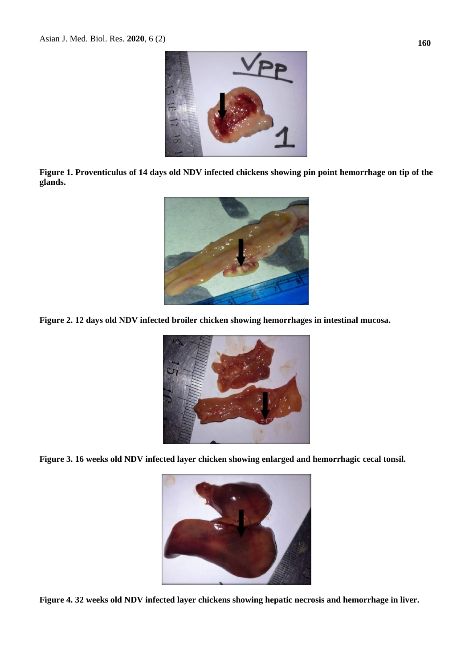

**Figure 1. Proventiculus of 14 days old NDV infected chickens showing pin point hemorrhage on tip of the glands.**



**Figure 2. 12 days old NDV infected broiler chicken showing hemorrhages in intestinal mucosa.**



**Figure 3. 16 weeks old NDV infected layer chicken showing enlarged and hemorrhagic cecal tonsil.**



**Figure 4. 32 weeks old NDV infected layer chickens showing hepatic necrosis and hemorrhage in liver.**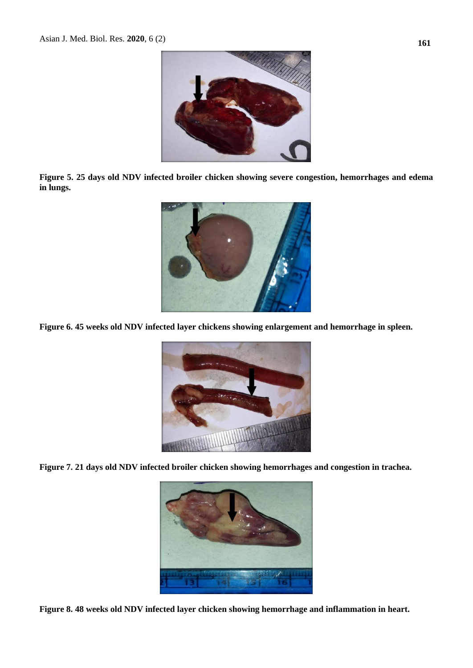

**Figure 5. 25 days old NDV infected broiler chicken showing severe congestion, hemorrhages and edema in lungs.**



**Figure 6. 45 weeks old NDV infected layer chickens showing enlargement and hemorrhage in spleen.**



**Figure 7. 21 days old NDV infected broiler chicken showing hemorrhages and congestion in trachea.**



**Figure 8. 48 weeks old NDV infected layer chicken showing hemorrhage and inflammation in heart.**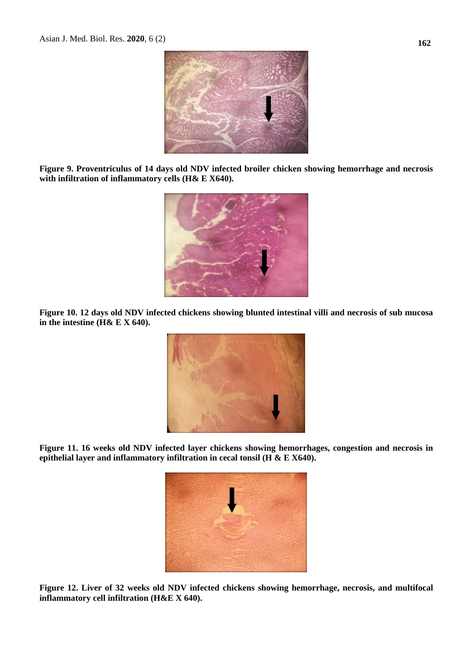

**Figure 9. Proventriculus of 14 days old NDV infected broiler chicken showing hemorrhage and necrosis with infiltration of inflammatory cells (H& E X640).**



**Figure 10. 12 days old NDV infected chickens showing blunted intestinal villi and necrosis of sub mucosa in the intestine (H& E X 640).**



**Figure 11. 16 weeks old NDV infected layer chickens showing hemorrhages, congestion and necrosis in epithelial layer and inflammatory infiltration in cecal tonsil (H & E X640).**



**Figure 12. Liver of 32 weeks old NDV infected chickens showing hemorrhage, necrosis, and multifocal inflammatory cell infiltration (H&E X 640).**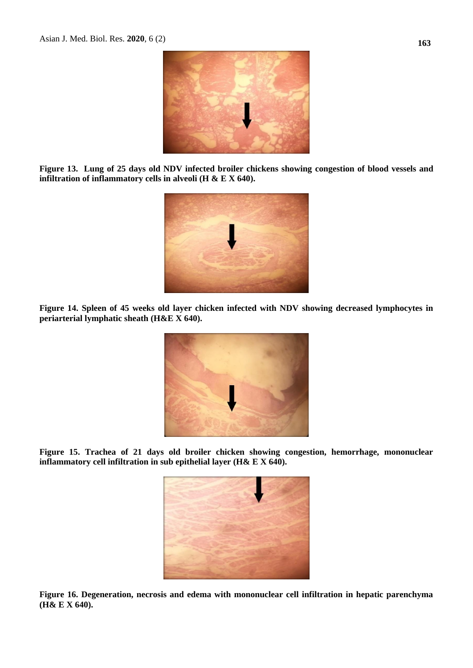

**Figure 13. Lung of 25 days old NDV infected broiler chickens showing congestion of blood vessels and infiltration of inflammatory cells in alveoli (H & E X 640).**



**Figure 14. Spleen of 45 weeks old layer chicken infected with NDV showing decreased lymphocytes in periarterial lymphatic sheath (H&E X 640).**



**Figure 15. Trachea of 21 days old broiler chicken showing congestion, hemorrhage, mononuclear inflammatory cell infiltration in sub epithelial layer (H& E X 640).**



**Figure 16. Degeneration, necrosis and edema with mononuclear cell infiltration in hepatic parenchyma (H& E X 640).**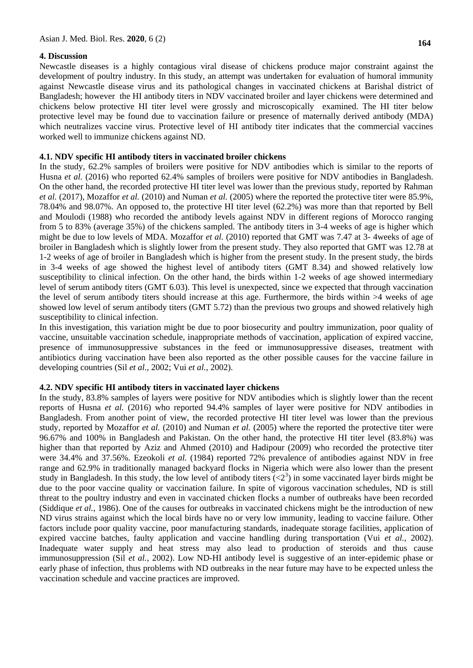#### **4. Discussion**

Newcastle diseases is a highly contagious viral disease of chickens produce major constraint against the development of poultry industry. In this study, an attempt was undertaken for evaluation of humoral immunity against Newcastle disease virus and its pathological changes in vaccinated chickens at Barishal district of Bangladesh; however the HI antibody titers in NDV vaccinated broiler and layer chickens were determined and chickens below protective HI titer level were grossly and microscopically examined. The HI titer below protective level may be found due to vaccination failure or presence of maternally derived antibody (MDA) which neutralizes vaccine virus. Protective level of HI antibody titer indicates that the commercial vaccines worked well to immunize chickens against ND.

## **4.1. NDV specific HI antibody titers in vaccinated broiler chickens**

In the study, 62.2% samples of broilers were positive for NDV antibodies which is similar to the reports of Husna *et al.* (2016) who reported 62.4% samples of broilers were positive for NDV antibodies in Bangladesh. On the other hand, the recorded protective HI titer level was lower than the previous study, reported by Rahman *et al.* (2017), Mozaffor *et al.* (2010) and Numan *et al.* (2005) where the reported the protective titer were 85.9%, 78.04% and 98.07%. An opposed to, the protective HI titer level (62.2%) was more than that reported by Bell and Moulodi (1988) who recorded the antibody levels against NDV in different regions of Morocco ranging from 5 to 83% (average 35%) of the chickens sampled. The antibody titers in 3-4 weeks of age is higher which might be due to low levels of MDA. Mozaffor *et al.* (2010) reported that GMT was 7.47 at 3- 4weeks of age of broiler in Bangladesh which is slightly lower from the present study. They also reported that GMT was 12.78 at 1-2 weeks of age of broiler in Bangladesh which is higher from the present study. In the present study, the birds in 3-4 weeks of age showed the highest level of antibody titers (GMT 8.34) and showed relatively low susceptibility to clinical infection. On the other hand, the birds within 1-2 weeks of age showed intermediary level of serum antibody titers (GMT 6.03). This level is unexpected, since we expected that through vaccination the level of serum antibody titers should increase at this age. Furthermore, the birds within >4 weeks of age showed low level of serum antibody titers (GMT 5.72) than the previous two groups and showed relatively high susceptibility to clinical infection.

In this investigation, this variation might be due to poor biosecurity and poultry immunization, poor quality of vaccine, unsuitable vaccination schedule, inappropriate methods of vaccination, application of expired vaccine, presence of immunosuppressive substances in the feed or immunosuppressive diseases, treatment with antibiotics during vaccination have been also reported as the other possible causes for the vaccine failure in developing countries (Sil *et al.,* 2002; Vui *et al.,* 2002).

## **4.2. NDV specific HI antibody titers in vaccinated layer chickens**

In the study, 83.8% samples of layers were positive for NDV antibodies which is slightly lower than the recent reports of Husna *et al.* (2016) who reported 94.4% samples of layer were positive for NDV antibodies in Bangladesh. From another point of view, the recorded protective HI titer level was lower than the previous study, reported by Mozaffor *et al.* (2010) and Numan *et al.* (2005) where the reported the protective titer were 96.67% and 100% in Bangladesh and Pakistan. On the other hand, the protective HI titer level (83.8%) was higher than that reported by Aziz and Ahmed (2010) and Hadipour (2009) who recorded the protective titer were 34.4% and 37.56%. Ezeokoli *et al.* (1984) reported 72% prevalence of antibodies against NDV in free range and 62.9% in traditionally managed backyard flocks in Nigeria which were also lower than the present study in Bangladesh. In this study, the low level of antibody titers  $( $2^3$ )$  in some vaccinated layer birds might be due to the poor vaccine quality or vaccination failure. In spite of vigorous vaccination schedules, ND is still threat to the poultry industry and even in vaccinated chicken flocks a number of outbreaks have been recorded (Siddique *et al.*, 1986). One of the causes for outbreaks in vaccinated chickens might be the introduction of new ND virus strains against which the local birds have no or very low immunity, leading to vaccine failure. Other factors include poor quality vaccine, poor manufacturing standards, inadequate storage facilities, application of expired vaccine batches, faulty application and vaccine handling during transportation (Vui *et al.,* 2002). Inadequate water supply and heat stress may also lead to production of steroids and thus cause immunosuppression (Sil *et al.,* 2002). Low ND-HI antibody level is suggestive of an inter-epidemic phase or early phase of infection, thus problems with ND outbreaks in the near future may have to be expected unless the vaccination schedule and vaccine practices are improved.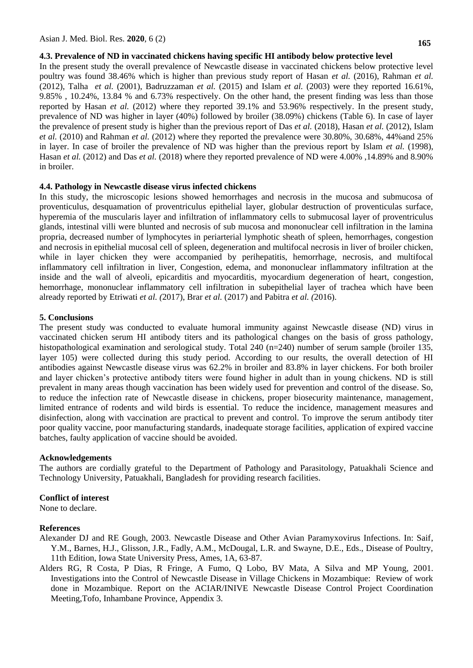#### **4.3. Prevalence of ND in vaccinated chickens having specific HI antibody below protective level**

In the present study the overall prevalence of Newcastle disease in vaccinated chickens below protective level poultry was found 38.46% which is higher than previous study report of Hasan *et al.* (2016), Rahman *et al.* (2012), Talha *et al.* (2001), Badruzzaman *et al.* (2015) and Islam *et al.* (2003) were they reported 16.61%, 9.85% , 10.24%, 13.84 % and 6.73% respectively. On the other hand, the present finding was less than those reported by Hasan *et al.* (2012) where they reported 39.1% and 53.96% respectively. In the present study, prevalence of ND was higher in layer (40%) followed by broiler (38.09%) chickens (Table 6). In case of layer the prevalence of present study is higher than the previous report of Das *et al.* (2018), Hasan *et al.* (2012), Islam *et al.* (2010) and Rahman *et al.* (2012) where they reported the prevalence were 30.80%, 30.68%, 44%and 25% in layer. In case of broiler the prevalence of ND was higher than the previous report by Islam *et al.* (1998), Hasan *et al.* (2012) and Das *et al.* (2018) where they reported prevalence of ND were 4.00% ,14.89% and 8.90% in broiler.

#### **4.4. Pathology in Newcastle disease virus infected chickens**

In this study, the microscopic lesions showed hemorrhages and necrosis in the mucosa and submucosa of proventiculus, desquamation of proventriculus epithelial layer, globular destruction of proventiculas surface, hyperemia of the muscularis layer and infiltration of inflammatory cells to submucosal layer of proventriculus glands, intestinal villi were blunted and necrosis of sub mucosa and mononuclear cell infiltration in the lamina propria, decreased number of lymphocytes in periarterial lymphotic sheath of spleen, hemorrhages, congestion and necrosis in epithelial mucosal cell of spleen, degeneration and multifocal necrosis in liver of broiler chicken, while in layer chicken they were accompanied by perihepatitis, hemorrhage, necrosis, and multifocal inflammatory cell infiltration in liver, Congestion, edema, and mononuclear inflammatory infiltration at the inside and the wall of alveoli, epicarditis and myocarditis, myocardium degeneration of heart, congestion, hemorrhage, mononuclear inflammatory cell infiltration in subepithelial layer of trachea which have been already reported by Etriwati *et al. (*2017), Brar *et al.* (2017) and Pabitra *et al. (*2016).

#### **5. Conclusions**

The present study was conducted to evaluate humoral immunity against Newcastle disease (ND) virus in vaccinated chicken serum HI antibody titers and its pathological changes on the basis of gross pathology, histopathological examination and serological study. Total 240 (n=240) number of serum sample (broiler 135, layer 105) were collected during this study period. According to our results, the overall detection of HI antibodies against Newcastle disease virus was 62.2% in broiler and 83.8% in layer chickens. For both broiler and layer chicken's protective antibody titers were found higher in adult than in young chickens. ND is still prevalent in many areas though vaccination has been widely used for prevention and control of the disease. So, to reduce the infection rate of Newcastle disease in chickens, proper biosecurity maintenance, management, limited entrance of rodents and wild birds is essential. To reduce the incidence, management measures and disinfection, along with vaccination are practical to prevent and control. To improve the serum antibody titer poor quality vaccine, poor manufacturing standards, inadequate storage facilities, application of expired vaccine batches, faulty application of vaccine should be avoided.

#### **Acknowledgements**

The authors are cordially grateful to the Department of Pathology and Parasitology, Patuakhali Science and Technology University, Patuakhali, Bangladesh for providing research facilities.

#### **Conflict of interest**

None to declare.

#### **References**

- Alexander DJ and RE Gough, 2003. Newcastle Disease and Other Avian Paramyxovirus Infections. In: Saif, Y.M., Barnes, H.J., Glisson, J.R., Fadly, A.M., McDougal, L.R. and Swayne, D.E., Eds., Disease of Poultry, 11th Edition, Iowa State University Press, Ames, 1A, 63-87.
- Alders RG, R Costa, P Dias, R Fringe, A Fumo, Q Lobo, BV Mata, A Silva and MP Young, 2001. Investigations into the Control of Newcastle Disease in Village Chickens in Mozambique: Review of work done in Mozambique. Report on the ACIAR/INIVE Newcastle Disease Control Project Coordination Meeting,Tofo, Inhambane Province, Appendix 3.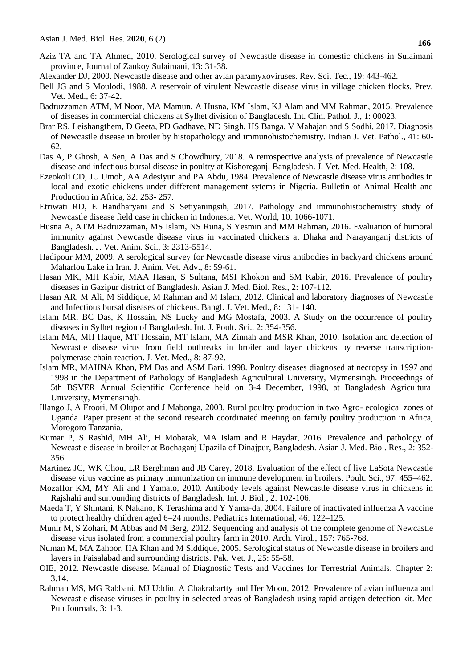- Aziz TA and TA Ahmed, 2010. Serological survey of Newcastle disease in domestic chickens in Sulaimani province, Journal of Zankoy Sulaimani, 13: 31-38.
- Alexander DJ, 2000. Newcastle disease and other avian paramyxoviruses. Rev. Sci. Tec., 19: 443-462.
- Bell JG and S Moulodi, 1988. A reservoir of virulent Newcastle disease virus in village chicken flocks. Prev. Vet. Med., 6: 37-42.
- Badruzzaman ATM, M Noor, MA Mamun, A Husna, KM Islam, KJ Alam and MM Rahman, 2015. Prevalence of diseases in commercial chickens at Sylhet division of Bangladesh. Int. Clin. Pathol. J., 1: 00023.
- Brar RS, Leishangthem, D Geeta, PD Gadhave, ND Singh, HS Banga, V Mahajan and S Sodhi, 2017. Diagnosis of Newcastle disease in broiler by histopathology and immunohistochemistry. Indian J. Vet. Pathol., 41: 60- 62.
- Das A, P Ghosh, A Sen, A Das and S Chowdhury, 2018. A retrospective analysis of prevalence of Newcastle disease and infectious bursal disease in poultry at Kishoreganj. Bangladesh. J. Vet. Med. Health, 2: 108.
- Ezeokoli CD, JU Umoh, AA Adesiyun and PA Abdu, 1984. Prevalence of Newcastle disease virus antibodies in local and exotic chickens under different management sytems in Nigeria. Bulletin of Animal Health and Production in Africa, 32: 253- 257.
- Etriwati RD, E Handharyani and S Setiyaningsih, 2017. Pathology and immunohistochemistry study of Newcastle disease field case in chicken in Indonesia. Vet. World, 10: 1066-1071.
- Husna A, ATM Badruzzaman, MS Islam, NS Runa, S Yesmin and MM Rahman, 2016. Evaluation of humoral immunity against Newcastle disease virus in vaccinated chickens at Dhaka and Narayanganj districts of Bangladesh. J. Vet. Anim. Sci., 3: 2313-5514.
- Hadipour MM, 2009. A serological survey for Newcastle disease virus antibodies in backyard chickens around Maharlou Lake in Iran. J. Anim. Vet. Adv., 8: 59-61.
- Hasan MK, MH Kabir, MAA Hasan, S Sultana, MSI Khokon and SM Kabir, 2016. Prevalence of poultry diseases in Gazipur district of Bangladesh. Asian J. Med. Biol. Res., 2: 107-112.
- Hasan AR, M Ali, M Siddique, M Rahman and M Islam, 2012. Clinical and laboratory diagnoses of Newcastle and Infectious bursal diseases of chickens. Bangl. J. Vet. Med., 8: 131- 140.
- Islam MR, BC Das, K Hossain, NS Lucky and MG Mostafa, 2003. A Study on the occurrence of poultry diseases in Sylhet region of Bangladesh. Int. J. Poult. Sci., 2: 354-356.
- Islam MA, MH Haque, MT Hossain, MT Islam, MA Zinnah and MSR Khan, 2010. Isolation and detection of Newcastle disease virus from field outbreaks in broiler and layer chickens by reverse transcriptionpolymerase chain reaction. J. Vet. Med., 8: 87-92.
- Islam MR, MAHNA Khan, PM Das and ASM Bari, 1998. Poultry diseases diagnosed at necropsy in 1997 and 1998 in the Department of Pathology of Bangladesh Agricultural University, Mymensingh. Proceedings of 5th BSVER Annual Scientific Conference held on 3-4 December, 1998, at Bangladesh Agricultural University, Mymensingh.
- Illango J, A Etoori, M Olupot and J Mabonga, 2003. Rural poultry production in two Agro- ecological zones of Uganda. Paper present at the second research coordinated meeting on family poultry production in Africa, Morogoro Tanzania.
- Kumar P, S Rashid, MH Ali, H Mobarak, MA Islam and R Haydar, 2016. Prevalence and pathology of Newcastle disease in broiler at Bochaganj Upazila of Dinajpur, Bangladesh. Asian J. Med. Biol. Res., 2: 352- 356.
- Martinez JC, WK Chou, LR Berghman and JB Carey, 2018. Evaluation of the effect of live LaSota Newcastle disease virus vaccine as primary immunization on immune development in broilers. Poult. Sci., 97: 455–462.
- Mozaffor KM, MY Ali and I Yamato, 2010. Antibody levels against Newcastle disease virus in chickens in Rajshahi and surrounding districts of Bangladesh. Int. J. Biol., 2: 102-106.
- Maeda T, Y Shintani, K Nakano, K Terashima and Y Yama-da, 2004. Failure of inactivated influenza A vaccine to protect healthy children aged 6–24 months. Pediatrics International, 46: 122–125.
- Munir M, S Zohari, M Abbas and M Berg, 2012. Sequencing and analysis of the complete genome of Newcastle disease virus isolated from a commercial poultry farm in 2010. Arch. Virol., 157: 765-768.
- Numan M, MA Zahoor, HA Khan and M Siddique, 2005. Serological status of Newcastle disease in broilers and layers in Faisalabad and surrounding districts. Pak. Vet. J., 25: 55-58.
- OIE, 2012. Newcastle disease. Manual of Diagnostic Tests and Vaccines for Terrestrial Animals. Chapter 2: 3.14.
- Rahman MS, MG Rabbani, MJ Uddin, A Chakrabartty and Her Moon, 2012. Prevalence of avian influenza and Newcastle disease viruses in poultry in selected areas of Bangladesh using rapid antigen detection kit. Med Pub Journals, 3: 1-3.